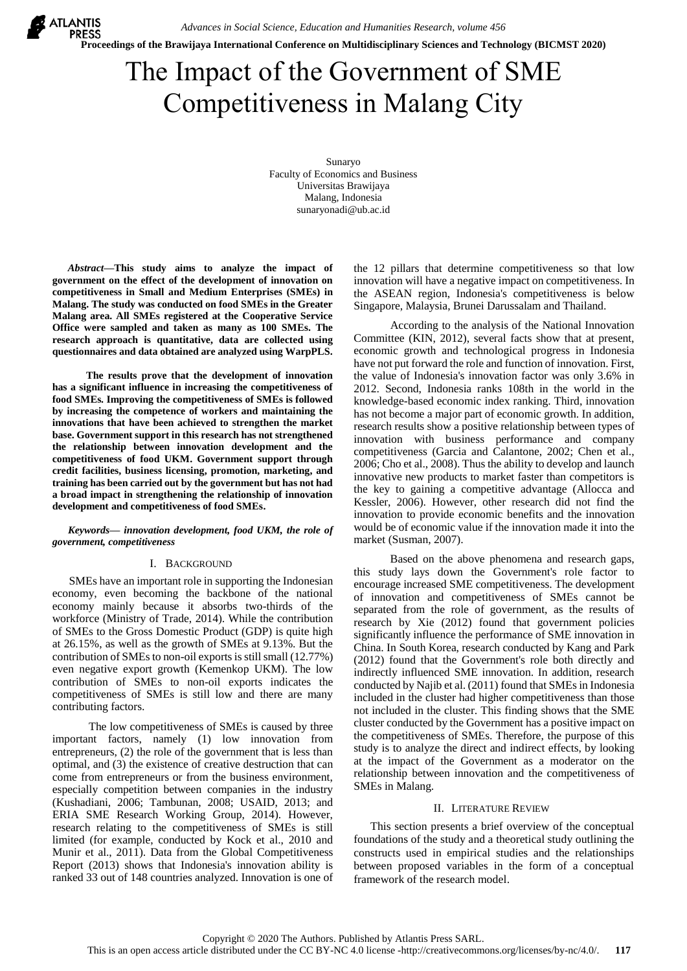*Advances in Social Science, Education and Humanities Research, volume 456*

**Proceedings of the Brawijaya International Conference on Multidisciplinary Sciences and Technology (BICMST 2020)**

# The Impact of the Government of SME Competitiveness in Malang City

Sunaryo Faculty of Economics and Business Universitas Brawijaya Malang, Indonesia sunaryonadi@ub.ac.id

*Abstract***—This study aims to analyze the impact of government on the effect of the development of innovation on competitiveness in Small and Medium Enterprises (SMEs) in Malang. The study was conducted on food SMEs in the Greater Malang area. All SMEs registered at the Cooperative Service Office were sampled and taken as many as 100 SMEs. The research approach is quantitative, data are collected using questionnaires and data obtained are analyzed using WarpPLS.**

**X** ATLANTIS PRESS

> **The results prove that the development of innovation has a significant influence in increasing the competitiveness of food SMEs. Improving the competitiveness of SMEs is followed by increasing the competence of workers and maintaining the innovations that have been achieved to strengthen the market base. Government support in this research has not strengthened the relationship between innovation development and the competitiveness of food UKM. Government support through credit facilities, business licensing, promotion, marketing, and training has been carried out by the government but has not had a broad impact in strengthening the relationship of innovation development and competitiveness of food SMEs.**

### *Keywords— innovation development, food UKM, the role of government, competitiveness*

## I. BACKGROUND

SMEs have an important role in supporting the Indonesian economy, even becoming the backbone of the national economy mainly because it absorbs two-thirds of the workforce (Ministry of Trade, 2014). While the contribution of SMEs to the Gross Domestic Product (GDP) is quite high at 26.15%, as well as the growth of SMEs at 9.13%. But the contribution of SMEs to non-oil exports is still small (12.77%) even negative export growth (Kemenkop UKM). The low contribution of SMEs to non-oil exports indicates the competitiveness of SMEs is still low and there are many contributing factors.

 The low competitiveness of SMEs is caused by three important factors, namely (1) low innovation from entrepreneurs, (2) the role of the government that is less than optimal, and (3) the existence of creative destruction that can come from entrepreneurs or from the business environment, especially competition between companies in the industry (Kushadiani, 2006; Tambunan, 2008; USAID, 2013; and ERIA SME Research Working Group, 2014). However, research relating to the competitiveness of SMEs is still limited (for example, conducted by Kock et al., 2010 and Munir et al., 2011). Data from the Global Competitiveness Report (2013) shows that Indonesia's innovation ability is ranked 33 out of 148 countries analyzed. Innovation is one of the 12 pillars that determine competitiveness so that low innovation will have a negative impact on competitiveness. In the ASEAN region, Indonesia's competitiveness is below Singapore, Malaysia, Brunei Darussalam and Thailand.

 According to the analysis of the National Innovation Committee (KIN, 2012), several facts show that at present, economic growth and technological progress in Indonesia have not put forward the role and function of innovation. First, the value of Indonesia's innovation factor was only 3.6% in 2012. Second, Indonesia ranks 108th in the world in the knowledge-based economic index ranking. Third, innovation has not become a major part of economic growth. In addition, research results show a positive relationship between types of innovation with business performance and company competitiveness (Garcia and Calantone, 2002; Chen et al., 2006; Cho et al., 2008). Thus the ability to develop and launch innovative new products to market faster than competitors is the key to gaining a competitive advantage (Allocca and Kessler, 2006). However, other research did not find the innovation to provide economic benefits and the innovation would be of economic value if the innovation made it into the market (Susman, 2007).

 Based on the above phenomena and research gaps, this study lays down the Government's role factor to encourage increased SME competitiveness. The development of innovation and competitiveness of SMEs cannot be separated from the role of government, as the results of research by Xie (2012) found that government policies significantly influence the performance of SME innovation in China. In South Korea, research conducted by Kang and Park (2012) found that the Government's role both directly and indirectly influenced SME innovation. In addition, research conducted by Najib et al. (2011) found that SMEs in Indonesia included in the cluster had higher competitiveness than those not included in the cluster. This finding shows that the SME cluster conducted by the Government has a positive impact on the competitiveness of SMEs. Therefore, the purpose of this study is to analyze the direct and indirect effects, by looking at the impact of the Government as a moderator on the relationship between innovation and the competitiveness of SMEs in Malang.

## II. LITERATURE REVIEW

This section presents a brief overview of the conceptual foundations of the study and a theoretical study outlining the constructs used in empirical studies and the relationships between proposed variables in the form of a conceptual framework of the research model.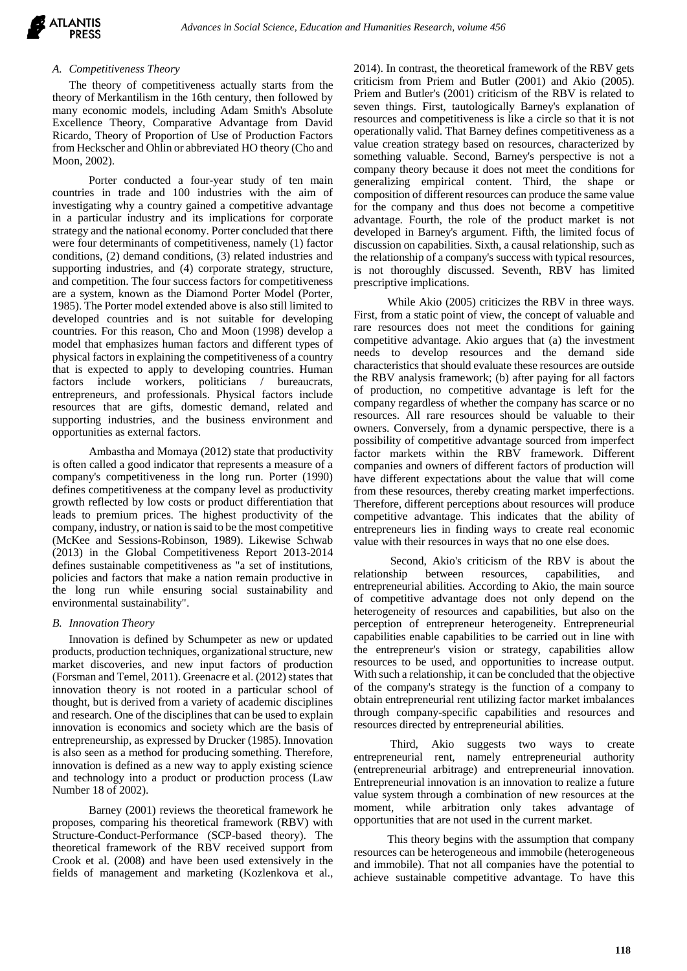## *A. Competitiveness Theory*

The theory of competitiveness actually starts from the theory of Merkantilism in the 16th century, then followed by many economic models, including Adam Smith's Absolute Excellence Theory, Comparative Advantage from David Ricardo, Theory of Proportion of Use of Production Factors from Heckscher and Ohlin or abbreviated HO theory (Cho and Moon, 2002).

 Porter conducted a four-year study of ten main countries in trade and 100 industries with the aim of investigating why a country gained a competitive advantage in a particular industry and its implications for corporate strategy and the national economy. Porter concluded that there were four determinants of competitiveness, namely (1) factor conditions, (2) demand conditions, (3) related industries and supporting industries, and (4) corporate strategy, structure, and competition. The four success factors for competitiveness are a system, known as the Diamond Porter Model (Porter, 1985). The Porter model extended above is also still limited to developed countries and is not suitable for developing countries. For this reason, Cho and Moon (1998) develop a model that emphasizes human factors and different types of physical factors in explaining the competitiveness of a country that is expected to apply to developing countries. Human factors include workers, politicians / bureaucrats, entrepreneurs, and professionals. Physical factors include resources that are gifts, domestic demand, related and supporting industries, and the business environment and opportunities as external factors.

 Ambastha and Momaya (2012) state that productivity is often called a good indicator that represents a measure of a company's competitiveness in the long run. Porter (1990) defines competitiveness at the company level as productivity growth reflected by low costs or product differentiation that leads to premium prices. The highest productivity of the company, industry, or nation is said to be the most competitive (McKee and Sessions-Robinson, 1989). Likewise Schwab (2013) in the Global Competitiveness Report 2013-2014 defines sustainable competitiveness as "a set of institutions, policies and factors that make a nation remain productive in the long run while ensuring social sustainability and environmental sustainability".

#### *B. Innovation Theory*

Innovation is defined by Schumpeter as new or updated products, production techniques, organizational structure, new market discoveries, and new input factors of production (Forsman and Temel, 2011). Greenacre et al. (2012) states that innovation theory is not rooted in a particular school of thought, but is derived from a variety of academic disciplines and research. One of the disciplines that can be used to explain innovation is economics and society which are the basis of entrepreneurship, as expressed by Drucker (1985). Innovation is also seen as a method for producing something. Therefore, innovation is defined as a new way to apply existing science and technology into a product or production process (Law Number 18 of 2002).

 Barney (2001) reviews the theoretical framework he proposes, comparing his theoretical framework (RBV) with Structure-Conduct-Performance (SCP-based theory). The theoretical framework of the RBV received support from Crook et al. (2008) and have been used extensively in the fields of management and marketing (Kozlenkova et al.,

2014). In contrast, the theoretical framework of the RBV gets criticism from Priem and Butler (2001) and Akio (2005). Priem and Butler's (2001) criticism of the RBV is related to seven things. First, tautologically Barney's explanation of resources and competitiveness is like a circle so that it is not operationally valid. That Barney defines competitiveness as a value creation strategy based on resources, characterized by something valuable. Second, Barney's perspective is not a company theory because it does not meet the conditions for generalizing empirical content. Third, the shape or composition of different resources can produce the same value for the company and thus does not become a competitive advantage. Fourth, the role of the product market is not developed in Barney's argument. Fifth, the limited focus of discussion on capabilities. Sixth, a causal relationship, such as the relationship of a company's success with typical resources, is not thoroughly discussed. Seventh, RBV has limited prescriptive implications.

 While Akio (2005) criticizes the RBV in three ways. First, from a static point of view, the concept of valuable and rare resources does not meet the conditions for gaining competitive advantage. Akio argues that (a) the investment needs to develop resources and the demand side characteristics that should evaluate these resources are outside the RBV analysis framework; (b) after paying for all factors of production, no competitive advantage is left for the company regardless of whether the company has scarce or no resources. All rare resources should be valuable to their owners. Conversely, from a dynamic perspective, there is a possibility of competitive advantage sourced from imperfect factor markets within the RBV framework. Different companies and owners of different factors of production will have different expectations about the value that will come from these resources, thereby creating market imperfections. Therefore, different perceptions about resources will produce competitive advantage. This indicates that the ability of entrepreneurs lies in finding ways to create real economic value with their resources in ways that no one else does.

 Second, Akio's criticism of the RBV is about the relationship between resources, capabilities, and entrepreneurial abilities. According to Akio, the main source of competitive advantage does not only depend on the heterogeneity of resources and capabilities, but also on the perception of entrepreneur heterogeneity. Entrepreneurial capabilities enable capabilities to be carried out in line with the entrepreneur's vision or strategy, capabilities allow resources to be used, and opportunities to increase output. With such a relationship, it can be concluded that the objective of the company's strategy is the function of a company to obtain entrepreneurial rent utilizing factor market imbalances through company-specific capabilities and resources and resources directed by entrepreneurial abilities.

 Third, Akio suggests two ways to create entrepreneurial rent, namely entrepreneurial authority (entrepreneurial arbitrage) and entrepreneurial innovation. Entrepreneurial innovation is an innovation to realize a future value system through a combination of new resources at the moment, while arbitration only takes advantage of opportunities that are not used in the current market.

 This theory begins with the assumption that company resources can be heterogeneous and immobile (heterogeneous and immobile). That not all companies have the potential to achieve sustainable competitive advantage. To have this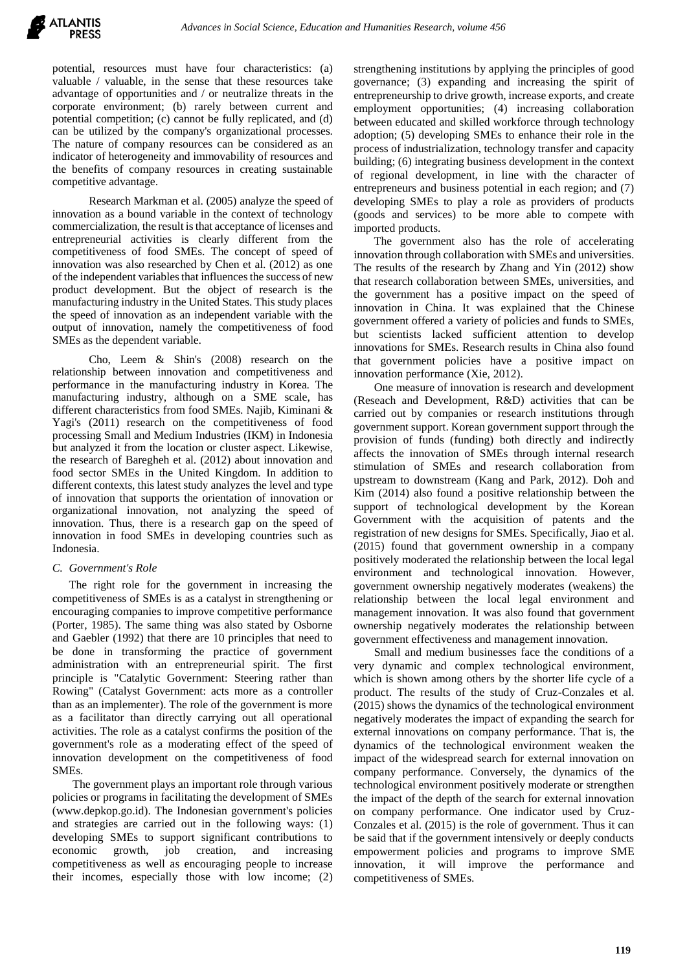potential, resources must have four characteristics: (a) valuable / valuable, in the sense that these resources take advantage of opportunities and / or neutralize threats in the corporate environment; (b) rarely between current and potential competition; (c) cannot be fully replicated, and (d) can be utilized by the company's organizational processes. The nature of company resources can be considered as an indicator of heterogeneity and immovability of resources and the benefits of company resources in creating sustainable competitive advantage.

 Research Markman et al. (2005) analyze the speed of innovation as a bound variable in the context of technology commercialization, the result is that acceptance of licenses and entrepreneurial activities is clearly different from the competitiveness of food SMEs. The concept of speed of innovation was also researched by Chen et al. (2012) as one of the independent variables that influences the success of new product development. But the object of research is the manufacturing industry in the United States. This study places the speed of innovation as an independent variable with the output of innovation, namely the competitiveness of food SMEs as the dependent variable.

 Cho, Leem & Shin's (2008) research on the relationship between innovation and competitiveness and performance in the manufacturing industry in Korea. The manufacturing industry, although on a SME scale, has different characteristics from food SMEs. Najib, Kiminani & Yagi's (2011) research on the competitiveness of food processing Small and Medium Industries (IKM) in Indonesia but analyzed it from the location or cluster aspect. Likewise, the research of Baregheh et al. (2012) about innovation and food sector SMEs in the United Kingdom. In addition to different contexts, this latest study analyzes the level and type of innovation that supports the orientation of innovation or organizational innovation, not analyzing the speed of innovation. Thus, there is a research gap on the speed of innovation in food SMEs in developing countries such as Indonesia.

## *C. Government's Role*

The right role for the government in increasing the competitiveness of SMEs is as a catalyst in strengthening or encouraging companies to improve competitive performance (Porter, 1985). The same thing was also stated by Osborne and Gaebler (1992) that there are 10 principles that need to be done in transforming the practice of government administration with an entrepreneurial spirit. The first principle is "Catalytic Government: Steering rather than Rowing" (Catalyst Government: acts more as a controller than as an implementer). The role of the government is more as a facilitator than directly carrying out all operational activities. The role as a catalyst confirms the position of the government's role as a moderating effect of the speed of innovation development on the competitiveness of food SMEs.

 The government plays an important role through various policies or programs in facilitating the development of SMEs (www.depkop.go.id). The Indonesian government's policies and strategies are carried out in the following ways: (1) developing SMEs to support significant contributions to economic growth, job creation, and increasing competitiveness as well as encouraging people to increase their incomes, especially those with low income; (2)

strengthening institutions by applying the principles of good governance; (3) expanding and increasing the spirit of entrepreneurship to drive growth, increase exports, and create employment opportunities; (4) increasing collaboration between educated and skilled workforce through technology adoption; (5) developing SMEs to enhance their role in the process of industrialization, technology transfer and capacity building; (6) integrating business development in the context of regional development, in line with the character of entrepreneurs and business potential in each region; and (7) developing SMEs to play a role as providers of products (goods and services) to be more able to compete with imported products.

 The government also has the role of accelerating innovation through collaboration with SMEs and universities. The results of the research by Zhang and Yin (2012) show that research collaboration between SMEs, universities, and the government has a positive impact on the speed of innovation in China. It was explained that the Chinese government offered a variety of policies and funds to SMEs, but scientists lacked sufficient attention to develop innovations for SMEs. Research results in China also found that government policies have a positive impact on innovation performance (Xie, 2012).

 One measure of innovation is research and development (Reseach and Development, R&D) activities that can be carried out by companies or research institutions through government support. Korean government support through the provision of funds (funding) both directly and indirectly affects the innovation of SMEs through internal research stimulation of SMEs and research collaboration from upstream to downstream (Kang and Park, 2012). Doh and Kim (2014) also found a positive relationship between the support of technological development by the Korean Government with the acquisition of patents and the registration of new designs for SMEs. Specifically, Jiao et al. (2015) found that government ownership in a company positively moderated the relationship between the local legal environment and technological innovation. However, government ownership negatively moderates (weakens) the relationship between the local legal environment and management innovation. It was also found that government ownership negatively moderates the relationship between government effectiveness and management innovation.

 Small and medium businesses face the conditions of a very dynamic and complex technological environment, which is shown among others by the shorter life cycle of a product. The results of the study of Cruz-Conzales et al. (2015) shows the dynamics of the technological environment negatively moderates the impact of expanding the search for external innovations on company performance. That is, the dynamics of the technological environment weaken the impact of the widespread search for external innovation on company performance. Conversely, the dynamics of the technological environment positively moderate or strengthen the impact of the depth of the search for external innovation on company performance. One indicator used by Cruz-Conzales et al. (2015) is the role of government. Thus it can be said that if the government intensively or deeply conducts empowerment policies and programs to improve SME innovation, it will improve the performance and competitiveness of SMEs.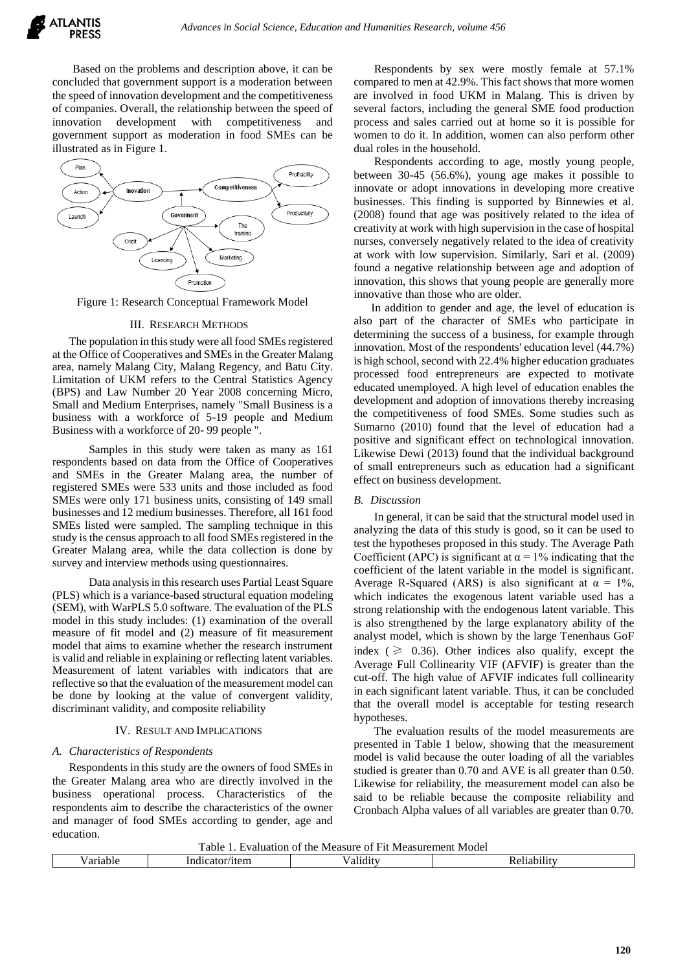Based on the problems and description above, it can be concluded that government support is a moderation between the speed of innovation development and the competitiveness of companies. Overall, the relationship between the speed of innovation development with competitiveness and government support as moderation in food SMEs can be illustrated as in Figure 1.



Figure 1: Research Conceptual Framework Model

#### III. RESEARCH METHODS

The population in this study were all food SMEs registered at the Office of Cooperatives and SMEs in the Greater Malang area, namely Malang City, Malang Regency, and Batu City. Limitation of UKM refers to the Central Statistics Agency (BPS) and Law Number 20 Year 2008 concerning Micro, Small and Medium Enterprises, namely "Small Business is a business with a workforce of 5-19 people and Medium Business with a workforce of 20- 99 people ".

 Samples in this study were taken as many as 161 respondents based on data from the Office of Cooperatives and SMEs in the Greater Malang area, the number of registered SMEs were 533 units and those included as food SMEs were only 171 business units, consisting of 149 small businesses and 12 medium businesses. Therefore, all 161 food SMEs listed were sampled. The sampling technique in this study is the census approach to all food SMEs registered in the Greater Malang area, while the data collection is done by survey and interview methods using questionnaires.

 Data analysis in this research uses Partial Least Square (PLS) which is a variance-based structural equation modeling (SEM), with WarPLS 5.0 software. The evaluation of the PLS model in this study includes: (1) examination of the overall measure of fit model and (2) measure of fit measurement model that aims to examine whether the research instrument is valid and reliable in explaining or reflecting latent variables. Measurement of latent variables with indicators that are reflective so that the evaluation of the measurement model can be done by looking at the value of convergent validity, discriminant validity, and composite reliability

#### IV. RESULT AND IMPLICATIONS

#### *A. Characteristics of Respondents*

Respondents in this study are the owners of food SMEs in the Greater Malang area who are directly involved in the business operational process. Characteristics of the respondents aim to describe the characteristics of the owner and manager of food SMEs according to gender, age and education.

 Respondents by sex were mostly female at 57.1% compared to men at 42.9%. This fact shows that more women are involved in food UKM in Malang. This is driven by several factors, including the general SME food production process and sales carried out at home so it is possible for women to do it. In addition, women can also perform other dual roles in the household.

 Respondents according to age, mostly young people, between 30-45 (56.6%), young age makes it possible to innovate or adopt innovations in developing more creative businesses. This finding is supported by Binnewies et al. (2008) found that age was positively related to the idea of creativity at work with high supervision in the case of hospital nurses, conversely negatively related to the idea of creativity at work with low supervision. Similarly, Sari et al. (2009) found a negative relationship between age and adoption of innovation, this shows that young people are generally more innovative than those who are older.

 In addition to gender and age, the level of education is also part of the character of SMEs who participate in determining the success of a business, for example through innovation. Most of the respondents' education level (44.7%) is high school, second with 22.4% higher education graduates processed food entrepreneurs are expected to motivate educated unemployed. A high level of education enables the development and adoption of innovations thereby increasing the competitiveness of food SMEs. Some studies such as Sumarno (2010) found that the level of education had a positive and significant effect on technological innovation. Likewise Dewi (2013) found that the individual background of small entrepreneurs such as education had a significant effect on business development.

#### *B. Discussion*

 In general, it can be said that the structural model used in analyzing the data of this study is good, so it can be used to test the hypotheses proposed in this study. The Average Path Coefficient (APC) is significant at  $\alpha = 1\%$  indicating that the coefficient of the latent variable in the model is significant. Average R-Squared (ARS) is also significant at  $\alpha = 1\%$ , which indicates the exogenous latent variable used has a strong relationship with the endogenous latent variable. This is also strengthened by the large explanatory ability of the analyst model, which is shown by the large Tenenhaus GoF index ( $\geq$  0.36). Other indices also qualify, except the Average Full Collinearity VIF (AFVIF) is greater than the cut-off. The high value of AFVIF indicates full collinearity in each significant latent variable. Thus, it can be concluded that the overall model is acceptable for testing research hypotheses.

 The evaluation results of the model measurements are presented in Table 1 below, showing that the measurement model is valid because the outer loading of all the variables studied is greater than 0.70 and AVE is all greater than 0.50. Likewise for reliability, the measurement model can also be said to be reliable because the composite reliability and Cronbach Alpha values of all variables are greater than 0.70.

| Table 1. Evaluation of the Measure of Fit Measurement Model |  |
|-------------------------------------------------------------|--|
|-------------------------------------------------------------|--|

| $\alpha \nu \nu$<br>wicasure vi<br><br>. |  |  |  |  |  |  |
|------------------------------------------|--|--|--|--|--|--|
| .                                        |  |  |  |  |  |  |
|                                          |  |  |  |  |  |  |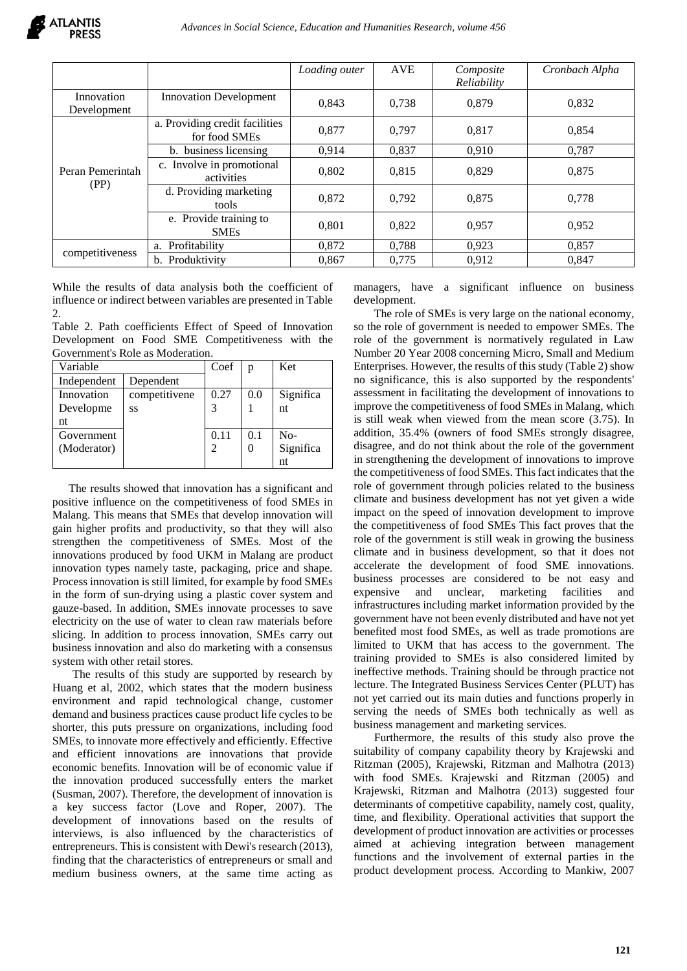

|                           |                                                 | Loading outer | <b>AVE</b> | Composite<br>Reliability | Cronbach Alpha |
|---------------------------|-------------------------------------------------|---------------|------------|--------------------------|----------------|
| Innovation<br>Development | <b>Innovation Development</b>                   | 0.843         | 0.738      | 0.879                    | 0,832          |
| Peran Pemerintah<br>(PP)  | a. Providing credit facilities<br>for food SMEs | 0,877         | 0.797      | 0,817                    | 0,854          |
|                           | b. business licensing                           | 0.914         | 0.837      | 0.910                    | 0.787          |
|                           | c. Involve in promotional<br>activities         | 0.802         | 0.815      | 0.829                    | 0.875          |
|                           | d. Providing marketing<br>tools                 | 0.872         | 0.792      | 0.875                    | 0.778          |
|                           | e. Provide training to<br><b>SMEs</b>           | 0.801         | 0,822      | 0.957                    | 0,952          |
| competitiveness           | a. Profitability                                | 0,872         | 0,788      | 0,923                    | 0,857          |
|                           | b. Produktivity                                 | 0.867         | 0.775      | 0.912                    | 0.847          |

While the results of data analysis both the coefficient of influence or indirect between variables are presented in Table  $\mathcal{L}$ 

Table 2. Path coefficients Effect of Speed of Innovation Development on Food SME Competitiveness with the Government's Role as Moderation.

| Variable    |               | Coef | p   | Ket       |
|-------------|---------------|------|-----|-----------|
| Independent | Dependent     |      |     |           |
| Innovation  | competitivene | 0.27 | 0.0 | Significa |
| Developme   | SS            |      |     | nt        |
| nt          |               |      |     |           |
| Government  |               | 0.11 | 0.1 | $No-$     |
| (Moderator) |               |      |     | Significa |
|             |               |      |     | nt.       |

The results showed that innovation has a significant and positive influence on the competitiveness of food SMEs in Malang. This means that SMEs that develop innovation will gain higher profits and productivity, so that they will also strengthen the competitiveness of SMEs. Most of the innovations produced by food UKM in Malang are product innovation types namely taste, packaging, price and shape. Process innovation is still limited, for example by food SMEs in the form of sun-drying using a plastic cover system and gauze-based. In addition, SMEs innovate processes to save electricity on the use of water to clean raw materials before slicing. In addition to process innovation, SMEs carry out business innovation and also do marketing with a consensus system with other retail stores.

 The results of this study are supported by research by Huang et al, 2002, which states that the modern business environment and rapid technological change, customer demand and business practices cause product life cycles to be shorter, this puts pressure on organizations, including food SMEs, to innovate more effectively and efficiently. Effective and efficient innovations are innovations that provide economic benefits. Innovation will be of economic value if the innovation produced successfully enters the market (Susman, 2007). Therefore, the development of innovation is a key success factor (Love and Roper, 2007). The development of innovations based on the results of interviews, is also influenced by the characteristics of entrepreneurs. This is consistent with Dewi's research (2013), finding that the characteristics of entrepreneurs or small and medium business owners, at the same time acting as

managers, have a significant influence on business development.

 The role of SMEs is very large on the national economy, so the role of government is needed to empower SMEs. The role of the government is normatively regulated in Law Number 20 Year 2008 concerning Micro, Small and Medium Enterprises. However, the results of this study (Table 2) show no significance, this is also supported by the respondents' assessment in facilitating the development of innovations to improve the competitiveness of food SMEs in Malang, which is still weak when viewed from the mean score (3.75). In addition, 35.4% (owners of food SMEs strongly disagree, disagree, and do not think about the role of the government in strengthening the development of innovations to improve the competitiveness of food SMEs. This fact indicates that the role of government through policies related to the business climate and business development has not yet given a wide impact on the speed of innovation development to improve the competitiveness of food SMEs This fact proves that the role of the government is still weak in growing the business climate and in business development, so that it does not accelerate the development of food SME innovations. business processes are considered to be not easy and expensive and unclear, marketing facilities and infrastructures including market information provided by the government have not been evenly distributed and have not yet benefited most food SMEs, as well as trade promotions are limited to UKM that has access to the government. The training provided to SMEs is also considered limited by ineffective methods. Training should be through practice not lecture. The Integrated Business Services Center (PLUT) has not yet carried out its main duties and functions properly in serving the needs of SMEs both technically as well as business management and marketing services.

 Furthermore, the results of this study also prove the suitability of company capability theory by Krajewski and Ritzman (2005), Krajewski, Ritzman and Malhotra (2013) with food SMEs. Krajewski and Ritzman (2005) and Krajewski, Ritzman and Malhotra (2013) suggested four determinants of competitive capability, namely cost, quality, time, and flexibility. Operational activities that support the development of product innovation are activities or processes aimed at achieving integration between management functions and the involvement of external parties in the product development process. According to Mankiw, 2007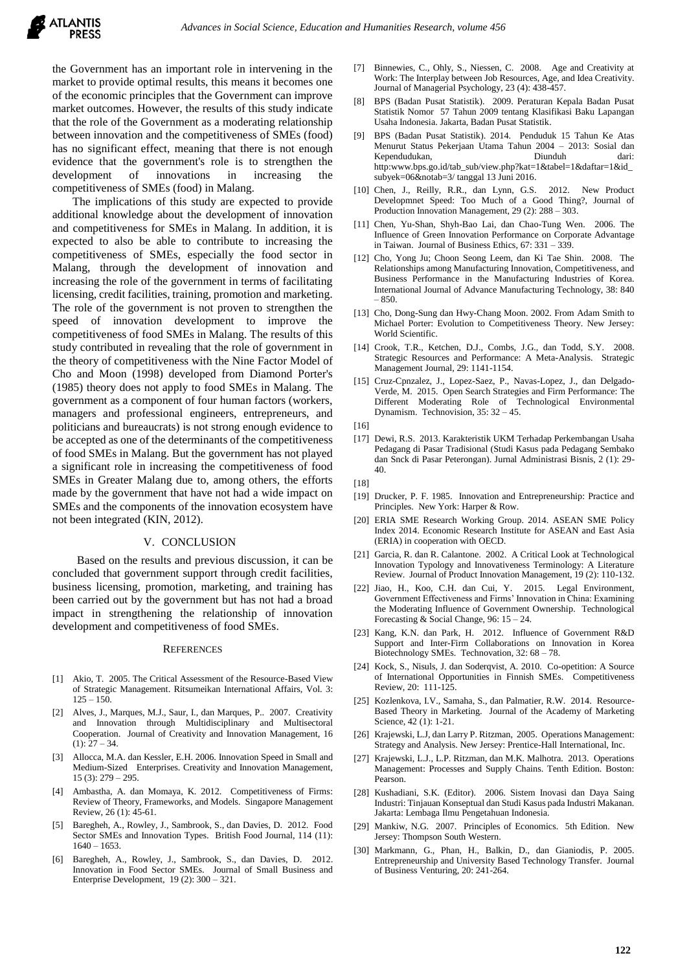

the Government has an important role in intervening in the market to provide optimal results, this means it becomes one of the economic principles that the Government can improve market outcomes. However, the results of this study indicate that the role of the Government as a moderating relationship between innovation and the competitiveness of SMEs (food) has no significant effect, meaning that there is not enough evidence that the government's role is to strengthen the development of innovations in increasing the competitiveness of SMEs (food) in Malang.

 The implications of this study are expected to provide additional knowledge about the development of innovation and competitiveness for SMEs in Malang. In addition, it is expected to also be able to contribute to increasing the competitiveness of SMEs, especially the food sector in Malang, through the development of innovation and increasing the role of the government in terms of facilitating licensing, credit facilities, training, promotion and marketing. The role of the government is not proven to strengthen the speed of innovation development to improve the competitiveness of food SMEs in Malang. The results of this study contributed in revealing that the role of government in the theory of competitiveness with the Nine Factor Model of Cho and Moon (1998) developed from Diamond Porter's (1985) theory does not apply to food SMEs in Malang. The government as a component of four human factors (workers, managers and professional engineers, entrepreneurs, and politicians and bureaucrats) is not strong enough evidence to be accepted as one of the determinants of the competitiveness of food SMEs in Malang. But the government has not played a significant role in increasing the competitiveness of food SMEs in Greater Malang due to, among others, the efforts made by the government that have not had a wide impact on SMEs and the components of the innovation ecosystem have not been integrated (KIN, 2012).

#### V. CONCLUSION

Based on the results and previous discussion, it can be concluded that government support through credit facilities, business licensing, promotion, marketing, and training has been carried out by the government but has not had a broad impact in strengthening the relationship of innovation development and competitiveness of food SMEs.

#### **REFERENCES**

- [1] Akio, T. 2005. The Critical Assessment of the Resource-Based View of Strategic Management. Ritsumeikan International Affairs, Vol. 3:  $125 - 150$ .
- [2] Alves, J., Marques, M.J., Saur, I., dan Marques, P.. 2007. Creativity and Innovation through Multidisciplinary and Multisectoral Cooperation. Journal of Creativity and Innovation Management, 16  $(1): 27 - 34.$
- [3] Allocca, M.A. dan Kessler, E.H. 2006. Innovation Speed in Small and Medium-Sized Enterprises. Creativity and Innovation Management, 15 (3): 279 – 295.
- [4] Ambastha, A. dan Momaya, K. 2012. Competitiveness of Firms: Review of Theory, Frameworks, and Models. Singapore Management Review, 26 (1): 45-61.
- [5] Baregheh, A., Rowley, J., Sambrook, S., dan Davies, D. 2012. Food Sector SMEs and Innovation Types. British Food Journal, 114 (11):  $1640 - 1653$ .
- [6] Baregheh, A., Rowley, J., Sambrook, S., dan Davies, D. 2012. Innovation in Food Sector SMEs. Journal of Small Business and Enterprise Development, 19 (2): 300 – 321.
- [7] Binnewies, C., Ohly, S., Niessen, C. 2008. Age and Creativity at Work: The Interplay between Job Resources, Age, and Idea Creativity. Journal of Managerial Psychology, 23 (4): 438-457.
- [8] BPS (Badan Pusat Statistik). 2009. Peraturan Kepala Badan Pusat Statistik Nomor 57 Tahun 2009 tentang Klasifikasi Baku Lapangan Usaha Indonesia. Jakarta, Badan Pusat Statistik.
- [9] BPS (Badan Pusat Statistik). 2014. Penduduk 15 Tahun Ke Atas Menurut Status Pekerjaan Utama Tahun 2004 – 2013: Sosial dan Kependudukan, Diunduh dari: http:www.bps.go.id/tab\_sub/view.php?kat=1&tabel=1&daftar=1&id\_ subyek=06&notab=3/ tanggal 13 Juni 2016.
- [10] Chen, J., Reilly, R.R., dan Lynn, G.S. 2012. New Product Developmnet Speed: Too Much of a Good Thing?, Journal of Production Innovation Management, 29 (2): 288 – 303.
- [11] Chen, Yu-Shan, Shyh-Bao Lai, dan Chao-Tung Wen. 2006. The Influence of Green Innovation Performance on Corporate Advantage in Taiwan. Journal of Business Ethics, 67: 331 – 339.
- [12] Cho, Yong Ju; Choon Seong Leem, dan Ki Tae Shin. 2008. The Relationships among Manufacturing Innovation, Competitiveness, and Business Performance in the Manufacturing Industries of Korea. International Journal of Advance Manufacturing Technology, 38: 840 – 850.
- [13] Cho, Dong-Sung dan Hwy-Chang Moon. 2002. From Adam Smith to Michael Porter: Evolution to Competitiveness Theory. New Jersey: World Scientific.
- [14] Crook, T.R., Ketchen, D.J., Combs, J.G., dan Todd, S.Y. 2008. Strategic Resources and Performance: A Meta-Analysis. Strategic Management Journal, 29: 1141-1154.
- [15] Cruz-Cpnzalez, J., Lopez-Saez, P., Navas-Lopez, J., dan Delgado-Verde, M. 2015. Open Search Strategies and Firm Performance: The Different Moderating Role of Technological Environmental Dynamism. Technovision,  $35: 32 - 45$ .
- [16]
- [17] Dewi, R.S. 2013. Karakteristik UKM Terhadap Perkembangan Usaha Pedagang di Pasar Tradisional (Studi Kasus pada Pedagang Sembako dan Snck di Pasar Peterongan). Jurnal Administrasi Bisnis, 2 (1): 29- 40.
- [18]
- [19] Drucker, P. F. 1985. Innovation and Entrepreneurship: Practice and Principles. New York: Harper & Row.
- [20] ERIA SME Research Working Group. 2014. ASEAN SME Policy Index 2014. Economic Research Institute for ASEAN and East Asia (ERIA) in cooperation with OECD.
- [21] Garcia, R. dan R. Calantone. 2002. A Critical Look at Technological Innovation Typology and Innovativeness Terminology: A Literature Review. Journal of Product Innovation Management, 19 (2): 110-132.
- [22] Jiao, H., Koo, C.H. dan Cui, Y. 2015. Legal Environment, Government Effectiveness and Firms' Innovation in China: Examining the Moderating Influence of Government Ownership. Technological Forecasting & Social Change, 96: 15 – 24.
- [23] Kang, K.N. dan Park, H. 2012. Influence of Government R&D Support and Inter-Firm Collaborations on Innovation in Korea Biotechnology SMEs. Technovation, 32: 68 – 78.
- [24] Kock, S., Nisuls, J. dan Soderqvist, A. 2010. Co-opetition: A Source of International Opportunities in Finnish SMEs. Competitiveness Review, 20: 111-125.
- [25] Kozlenkova, I.V., Samaha, S., dan Palmatier, R.W. 2014. Resource-Based Theory in Marketing. Journal of the Academy of Marketing Science, 42 (1): 1-21.
- [26] Krajewski, L.J, dan Larry P. Ritzman, 2005. Operations Management: Strategy and Analysis. New Jersey: Prentice-Hall International, Inc.
- [27] Krajewski, L.J., L.P. Ritzman, dan M.K. Malhotra. 2013. Operations Management: Processes and Supply Chains. Tenth Edition. Boston: Pearson.
- [28] Kushadiani, S.K. (Editor). 2006. Sistem Inovasi dan Daya Saing Industri: Tinjauan Konseptual dan Studi Kasus pada Industri Makanan. Jakarta: Lembaga Ilmu Pengetahuan Indonesia.
- [29] Mankiw, N.G. 2007. Principles of Economics. 5th Edition. New Jersey: Thompson South Western.
- [30] Markmann, G., Phan, H., Balkin, D., dan Gianiodis, P. 2005. Entrepreneurship and University Based Technology Transfer. Journal of Business Venturing, 20: 241-264.